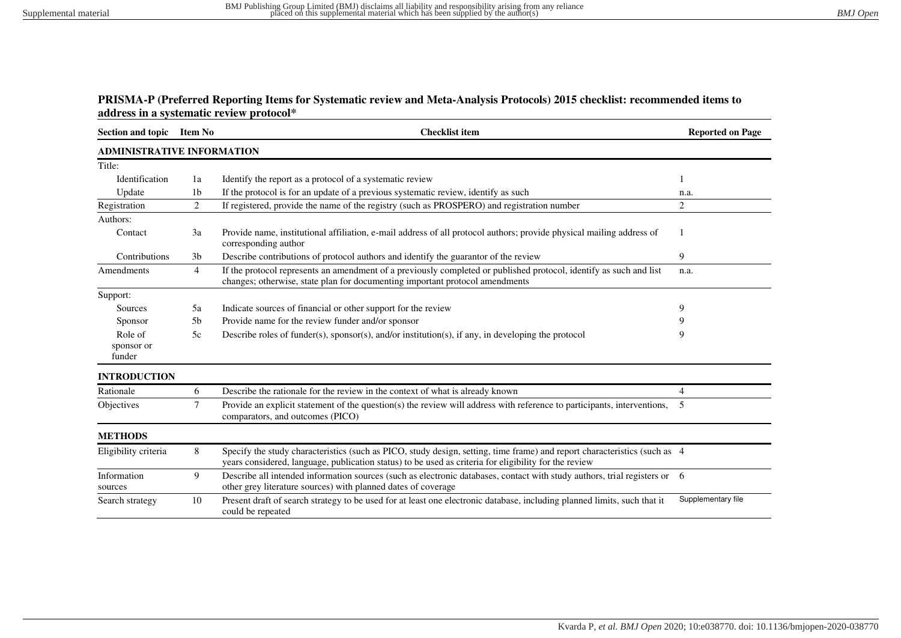## **PRISMA-P (Preferred Reporting Items for Systematic review and Meta-Analysis Protocols) 2015 checklist: recommended items to address in a systematic review protocol\***

| Section and topic Item No         |                | <b>Checklist item</b>                                                                                                                                                                                                              | <b>Reported on Page</b> |  |  |
|-----------------------------------|----------------|------------------------------------------------------------------------------------------------------------------------------------------------------------------------------------------------------------------------------------|-------------------------|--|--|
| <b>ADMINISTRATIVE INFORMATION</b> |                |                                                                                                                                                                                                                                    |                         |  |  |
| Title:                            |                |                                                                                                                                                                                                                                    |                         |  |  |
| Identification                    | 1a             | Identify the report as a protocol of a systematic review                                                                                                                                                                           |                         |  |  |
| Update                            | 1 <sub>b</sub> | If the protocol is for an update of a previous systematic review, identify as such                                                                                                                                                 | n.a.                    |  |  |
| Registration                      | 2              | If registered, provide the name of the registry (such as PROSPERO) and registration number                                                                                                                                         | $\overline{c}$          |  |  |
| Authors:                          |                |                                                                                                                                                                                                                                    |                         |  |  |
| Contact                           | 3a             | Provide name, institutional affiliation, e-mail address of all protocol authors; provide physical mailing address of<br>corresponding author                                                                                       |                         |  |  |
| Contributions                     | 3 <sub>b</sub> | Describe contributions of protocol authors and identify the guarantor of the review                                                                                                                                                | 9                       |  |  |
| Amendments                        | $\overline{4}$ | If the protocol represents an amendment of a previously completed or published protocol, identify as such and list<br>changes; otherwise, state plan for documenting important protocol amendments                                 | n.a.                    |  |  |
| Support:                          |                |                                                                                                                                                                                                                                    |                         |  |  |
| Sources                           | 5a             | Indicate sources of financial or other support for the review                                                                                                                                                                      | 9                       |  |  |
| Sponsor                           | 5 <sub>b</sub> | Provide name for the review funder and/or sponsor                                                                                                                                                                                  |                         |  |  |
| Role of<br>sponsor or<br>funder   | 5c             | Describe roles of funder(s), sponsor(s), and/or institution(s), if any, in developing the protocol                                                                                                                                 | 9                       |  |  |
| <b>INTRODUCTION</b>               |                |                                                                                                                                                                                                                                    |                         |  |  |
| Rationale                         | 6              | Describe the rationale for the review in the context of what is already known                                                                                                                                                      | $\overline{4}$          |  |  |
| Objectives                        | $\tau$         | Provide an explicit statement of the question(s) the review will address with reference to participants, interventions,<br>comparators, and outcomes (PICO)                                                                        | -5                      |  |  |
| <b>METHODS</b>                    |                |                                                                                                                                                                                                                                    |                         |  |  |
| Eligibility criteria              | 8              | Specify the study characteristics (such as PICO, study design, setting, time frame) and report characteristics (such as 4<br>years considered, language, publication status) to be used as criteria for eligibility for the review |                         |  |  |
| Information<br>sources            | 9              | Describe all intended information sources (such as electronic databases, contact with study authors, trial registers or 6<br>other grey literature sources) with planned dates of coverage                                         |                         |  |  |
| Search strategy                   | 10             | Present draft of search strategy to be used for at least one electronic database, including planned limits, such that it<br>could be repeated                                                                                      | Supplementary file      |  |  |